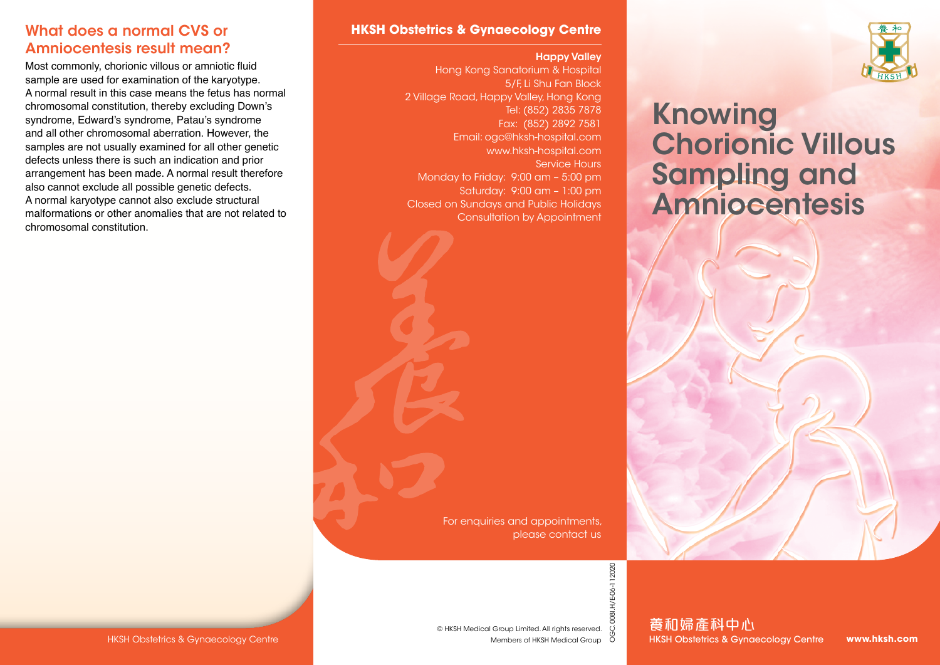### What does a normal CVS or Amniocentesis result mean?

Most commonly, chorionic villous or amniotic fluid sample are used for examination of the karyotype. A normal result in this case means the fetus has normal chromosomal constitution, thereby excluding Down's syndrome, Edward's syndrome, Patau's syndrome and all other chromosomal aberration. However, the samples are not usually examined for all other genetic defects unless there is such an indication and prior arrangement has been made. A normal result therefore also cannot exclude all possible genetic defects. A normal karyotype cannot also exclude structural malformations or other anomalies that are not related to chromosomal constitution.

#### **HKSH Obstetrics & Gynaecology Centre**

#### Happy Valley

Hong Kong Sanatorium & Hospital 5/F, Li Shu Fan Block 2 Village Road, Happy Valley, Hong Kong Tel: (852) 2835 7878 Fax: (852) 2892 7581 Email: ogc@hksh-hospital.com www.hksh-hospital.com Service Hours Monday to Friday: 9:00 am – 5:00 pm Saturday: 9:00 am – 1:00 pm Closed on Sundays and Public Holidays Consultation by Appointment



# Knowing Chorionic Villous Sampling and Amniocentesis

For enquiries and appointments, please contact us

© HKSH Medical Group Limited. All rights reserved.

Members of HKSH Medical Group

OGC.008I.H/E-06-112020 OGC.008I.H/E-06-112020

養和婦產科中心 HKSH Obstetrics & Gynaecology Centre

**www.hksh.com**

HKSH Obstetrics & Gynaecology Centre